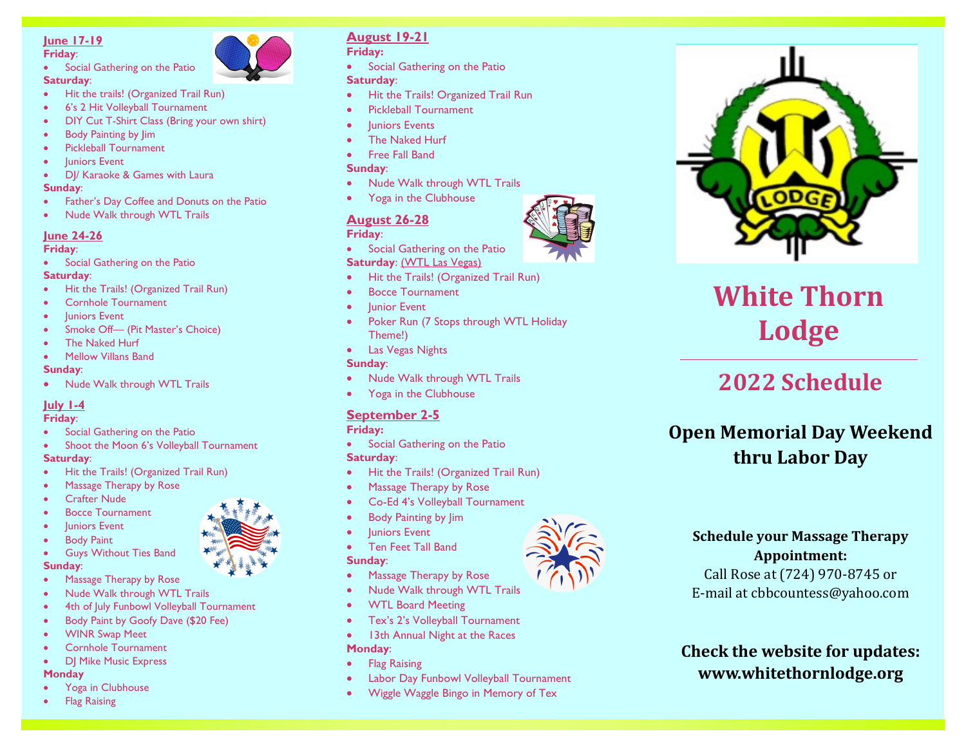# **June 17 -19**

#### **Friday** :

Social Gathering on the Patio **Saturday** :



- Hit the trails! (Organized Trail Run)
- 6's 2 Hit Volleyball Tournament
- DIY Cut T-Shirt Class (Bring your own shirt)
- Body Painting by Jim
- Pickleball Tournament
- **Juniors Event**
- DJ/ Karaoke & Games with Laura

#### **Sunday** :

- Father's Day Coffee and Donuts on the Patio
- Nude Walk through WTL Trails

#### **June 24 -26**

#### **Friday** :

Social Gathering on the Patio

# **Saturday** :

- Hit the Trails! (Organized Trail Run)
- Cornhole Tournament
- Juniors Event
- Smoke Off- (Pit Master's Choice)
- The Naked Hurf
- Mellow Villans Band

#### **Sunday** :

• Nude Walk through WTL Trails

# **July 1 -4**

- **Friday** :
- Social Gathering on the Patio
- Shoot the Moon 6's Volleyball Tournament **Saturday** :
- Hit the Trails! (Organized Trail Run)
- Massage Therapy by Rose
- **Crafter Nude**
- Bocce Tournament



- **Body Paint**
- Guys Without Ties Band

## **Sunday** :

- Massage Therapy by Rose
- Nude Walk through WTL Trails
- 4th of July Funbowl Volleyball Tournament
- Body Paint by Goofy Dave (\$20 Fee)
- WINR Swap Meet
- Cornhole Tournament
- DJ Mike Music Express

## **Monday**

- Yoga in Clubhouse
- Flag Raising

# **August 19 -21**

**Friday:**

• Social Gathering on the Patio

#### **Saturday** :

- Hit the Trails! Organized Trail Run
- Pickleball Tournament
- **Iuniors Events**
- The Naked Hurf
- Free Fall Band

#### **Sunday** :

- Nude Walk through WTL Trails
- Yoga in the Clubhouse

# **August 26 -28**

#### **Friday** :

- Social Gathering on the Patio **Saturday**: (WTL Las Vegas)
- Hit the Trails! (Organized Trail Run)
- Bocce Tournament
- Junior Event
- Poker Run (7 Stops through WTL Holiday Theme!)
- Las Vegas Nights

## **Sunday** :

- Nude Walk through WTL Trails
- Yoga in the Clubhouse

# **September 2 -5**

## **Friday:**

- Social Gathering on the Patio **Saturday** :
- Hit the Trails! (Organized Trail Run)
- Massage Therapy by Rose
- Co-Ed 4's Volleyball Tournament
- Body Painting by Jim
- **luniors Event**
- Ten Feet Tall Band

#### **Sunday** :

- Massage Therapy by Rose
- Nude Walk through WTL Trails
- WTL Board Meeting
- Tex's 2's Volleyball Tournament
- 13th Annual Night at the Races

# **Monday** :

- **Flag Raising**
- Labor Day Funbowl Volleyball Tournament
- Wiggle Waggle Bingo in Memory of Tex



# **White Thorn Lodge**

# **2022 Schedule**

# **Open Memorial Day Weekend thru Labor Day**



Call Rose at (724) 970 -8745 or E -mail at cbbcountess@yahoo.com

**Check the website for updates: www.whitethornlodge.org**